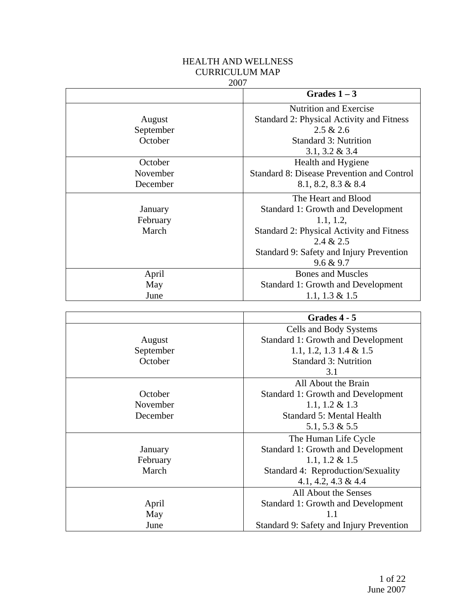# HEALTH AND WELLNESS CURRICULUM MAP

#### 2007

|           | Grades $1-3$                               |
|-----------|--------------------------------------------|
|           | <b>Nutrition and Exercise</b>              |
| August    | Standard 2: Physical Activity and Fitness  |
| September | 2.5 & 2.6                                  |
| October   | <b>Standard 3: Nutrition</b>               |
|           | $3.1, 3.2 \& 3.4$                          |
| October   | Health and Hygiene                         |
| November  | Standard 8: Disease Prevention and Control |
| December  | $8.1, 8.2, 8.3 \& 8.4$                     |
|           | The Heart and Blood                        |
| January   | Standard 1: Growth and Development         |
| February  | 1.1, 1.2,                                  |
| March     | Standard 2: Physical Activity and Fitness  |
|           | 2.4 & 2.5                                  |
|           | Standard 9: Safety and Injury Prevention   |
|           | 9.6 & 9.7                                  |
| April     | <b>Bones and Muscles</b>                   |
| May       | <b>Standard 1: Growth and Development</b>  |
| June      | 1.1, 1.3 $& 1.5$                           |

|           | Grades 4 - 5                              |
|-----------|-------------------------------------------|
|           | Cells and Body Systems                    |
| August    | <b>Standard 1: Growth and Development</b> |
| September | 1.1, 1.2, 1.3 1.4 & 1.5                   |
| October   | <b>Standard 3: Nutrition</b>              |
|           | 3.1                                       |
|           | All About the Brain                       |
| October   | Standard 1: Growth and Development        |
| November  | 1.1, 1.2 $& 1.3$                          |
| December  | <b>Standard 5: Mental Health</b>          |
|           | 5.1, 5.3 $\&$ 5.5                         |
|           | The Human Life Cycle                      |
| January   | <b>Standard 1: Growth and Development</b> |
| February  | 1.1, 1.2 $& 1.5$                          |
| March     | Standard 4: Reproduction/Sexuality        |
|           | 4.1, 4.2, 4.3 & 4.4                       |
|           | All About the Senses                      |
| April     | <b>Standard 1: Growth and Development</b> |
| May       | 1.1                                       |
| June      | Standard 9: Safety and Injury Prevention  |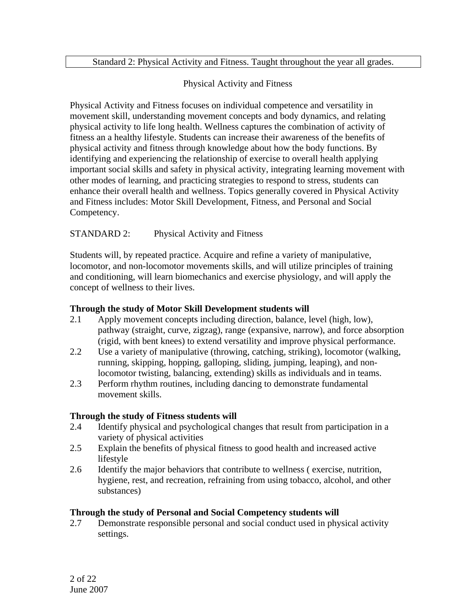#### Standard 2: Physical Activity and Fitness. Taught throughout the year all grades.

### Physical Activity and Fitness

Physical Activity and Fitness focuses on individual competence and versatility in movement skill, understanding movement concepts and body dynamics, and relating physical activity to life long health. Wellness captures the combination of activity of fitness an a healthy lifestyle. Students can increase their awareness of the benefits of physical activity and fitness through knowledge about how the body functions. By identifying and experiencing the relationship of exercise to overall health applying important social skills and safety in physical activity, integrating learning movement with other modes of learning, and practicing strategies to respond to stress, students can enhance their overall health and wellness. Topics generally covered in Physical Activity and Fitness includes: Motor Skill Development, Fitness, and Personal and Social Competency.

### STANDARD 2: Physical Activity and Fitness

Students will, by repeated practice. Acquire and refine a variety of manipulative, locomotor, and non-locomotor movements skills, and will utilize principles of training and conditioning, will learn biomechanics and exercise physiology, and will apply the concept of wellness to their lives.

#### **Through the study of Motor Skill Development students will**

- 2.1 Apply movement concepts including direction, balance, level (high, low), pathway (straight, curve, zigzag), range (expansive, narrow), and force absorption (rigid, with bent knees) to extend versatility and improve physical performance.
- 2.2 Use a variety of manipulative (throwing, catching, striking), locomotor (walking, running, skipping, hopping, galloping, sliding, jumping, leaping), and nonlocomotor twisting, balancing, extending) skills as individuals and in teams.
- 2.3 Perform rhythm routines, including dancing to demonstrate fundamental movement skills.

### **Through the study of Fitness students will**

- 2.4 Identify physical and psychological changes that result from participation in a variety of physical activities
- 2.5 Explain the benefits of physical fitness to good health and increased active lifestyle
- 2.6 Identify the major behaviors that contribute to wellness ( exercise, nutrition, hygiene, rest, and recreation, refraining from using tobacco, alcohol, and other substances)

#### **Through the study of Personal and Social Competency students will**

2.7 Demonstrate responsible personal and social conduct used in physical activity settings.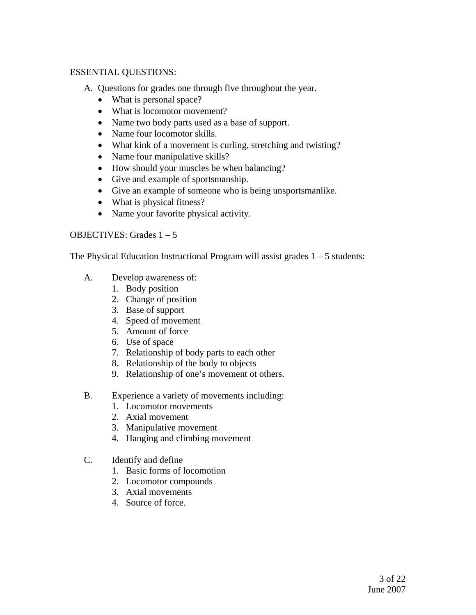#### ESSENTIAL QUESTIONS:

- A. Questions for grades one through five throughout the year.
	- What is personal space?
	- What is locomotor movement?
	- Name two body parts used as a base of support.
	- Name four locomotor skills.
	- What kink of a movement is curling, stretching and twisting?
	- Name four manipulative skills?
	- How should your muscles be when balancing?
	- Give and example of sportsmanship.
	- Give an example of someone who is being unsportsmanlike.
	- What is physical fitness?
	- Name your favorite physical activity.

### OBJECTIVES: Grades 1 – 5

The Physical Education Instructional Program will assist grades  $1 - 5$  students:

- A. Develop awareness of:
	- 1. Body position
	- 2. Change of position
	- 3. Base of support
	- 4. Speed of movement
	- 5. Amount of force
	- 6. Use of space
	- 7. Relationship of body parts to each other
	- 8. Relationship of the body to objects
	- 9. Relationship of one's movement ot others.
- B. Experience a variety of movements including:
	- 1. Locomotor movements
	- 2. Axial movement
	- 3. Manipulative movement
	- 4. Hanging and climbing movement
- C. Identify and define
	- 1. Basic forms of locomotion
	- 2. Locomotor compounds
	- 3. Axial movements
	- 4. Source of force.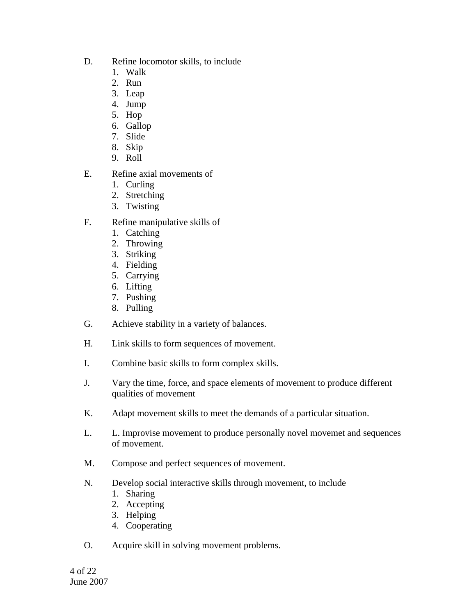- D. Refine locomotor skills, to include
	- 1. Walk
	- 2. Run
	- 3. Leap
	- 4. Jump
	- 5. Hop
	- 6. Gallop
	- 7. Slide
	- 8. Skip
	- 9. Roll
- E. Refine axial movements of
	- 1. Curling
	- 2. Stretching
	- 3. Twisting
- F. Refine manipulative skills of
	- 1. Catching
	- 2. Throwing
	- 3. Striking
	- 4. Fielding
	- 5. Carrying
	- 6. Lifting
	- 7. Pushing
	- 8. Pulling
- G. Achieve stability in a variety of balances.
- H. Link skills to form sequences of movement.
- I. Combine basic skills to form complex skills.
- J. Vary the time, force, and space elements of movement to produce different qualities of movement
- K. Adapt movement skills to meet the demands of a particular situation.
- L. L. Improvise movement to produce personally novel movemet and sequences of movement.
- M. Compose and perfect sequences of movement.
- N. Develop social interactive skills through movement, to include
	- 1. Sharing
	- 2. Accepting
	- 3. Helping
	- 4. Cooperating
- O. Acquire skill in solving movement problems.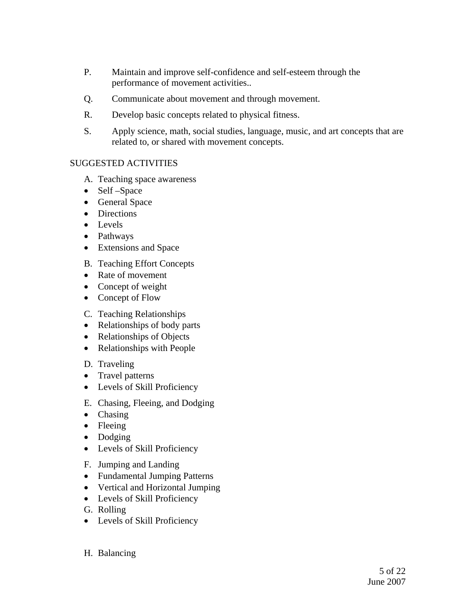- P. Maintain and improve self-confidence and self-esteem through the performance of movement activities..
- Q. Communicate about movement and through movement.
- R. Develop basic concepts related to physical fitness.
- S. Apply science, math, social studies, language, music, and art concepts that are related to, or shared with movement concepts.

### SUGGESTED ACTIVITIES

- A. Teaching space awareness
- Self –Space
- General Space
- Directions
- Levels
- Pathways
- Extensions and Space
- B. Teaching Effort Concepts
- Rate of movement
- Concept of weight
- Concept of Flow
- C. Teaching Relationships
- Relationships of body parts
- Relationships of Objects
- Relationships with People
- D. Traveling
- Travel patterns
- Levels of Skill Proficiency
- E. Chasing, Fleeing, and Dodging
- Chasing
- Fleeing
- Dodging
- Levels of Skill Proficiency
- F. Jumping and Landing
- Fundamental Jumping Patterns
- Vertical and Horizontal Jumping
- Levels of Skill Proficiency
- G. Rolling
- Levels of Skill Proficiency
- H. Balancing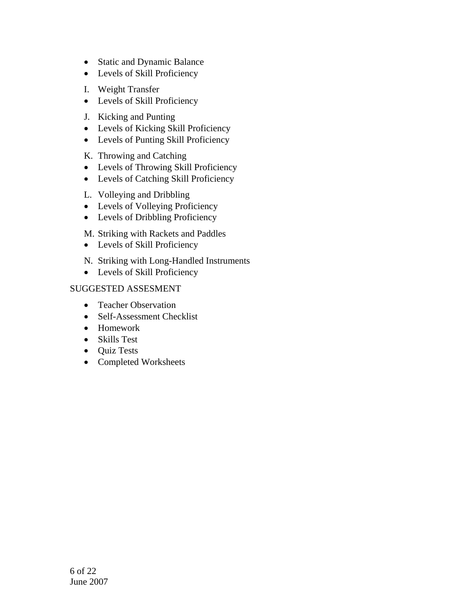- Static and Dynamic Balance
- Levels of Skill Proficiency
- I. Weight Transfer
- Levels of Skill Proficiency
- J. Kicking and Punting
- Levels of Kicking Skill Proficiency
- Levels of Punting Skill Proficiency
- K. Throwing and Catching
- Levels of Throwing Skill Proficiency
- Levels of Catching Skill Proficiency
- L. Volleying and Dribbling
- Levels of Volleying Proficiency
- Levels of Dribbling Proficiency
- M. Striking with Rackets and Paddles
- Levels of Skill Proficiency
- N. Striking with Long-Handled Instruments
- Levels of Skill Proficiency

- Teacher Observation
- Self-Assessment Checklist
- Homework
- Skills Test
- Quiz Tests
- Completed Worksheets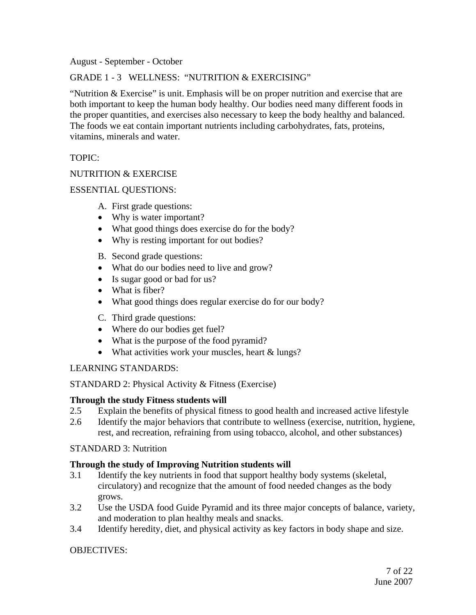August - September - October

GRADE 1 - 3 WELLNESS: "NUTRITION & EXERCISING"

"Nutrition & Exercise" is unit. Emphasis will be on proper nutrition and exercise that are both important to keep the human body healthy. Our bodies need many different foods in the proper quantities, and exercises also necessary to keep the body healthy and balanced. The foods we eat contain important nutrients including carbohydrates, fats, proteins, vitamins, minerals and water.

### TOPIC:

### NUTRITION & EXERCISE

### ESSENTIAL QUESTIONS:

- A. First grade questions:
- Why is water important?
- What good things does exercise do for the body?
- Why is resting important for out bodies?
- B. Second grade questions:
- What do our bodies need to live and grow?
- Is sugar good or bad for us?
- What is fiber?
- What good things does regular exercise do for our body?
- C. Third grade questions:
- Where do our bodies get fuel?
- What is the purpose of the food pyramid?
- What activities work your muscles, heart & lungs?

#### LEARNING STANDARDS:

STANDARD 2: Physical Activity & Fitness (Exercise)

#### **Through the study Fitness students will**

- 2.5 Explain the benefits of physical fitness to good health and increased active lifestyle
- 2.6 Identify the major behaviors that contribute to wellness (exercise, nutrition, hygiene, rest, and recreation, refraining from using tobacco, alcohol, and other substances)

#### STANDARD 3: Nutrition

### **Through the study of Improving Nutrition students will**

- 3.1 Identify the key nutrients in food that support healthy body systems (skeletal, circulatory) and recognize that the amount of food needed changes as the body grows.
- 3.2 Use the USDA food Guide Pyramid and its three major concepts of balance, variety, and moderation to plan healthy meals and snacks.
- 3.4 Identify heredity, diet, and physical activity as key factors in body shape and size.

### OBJECTIVES: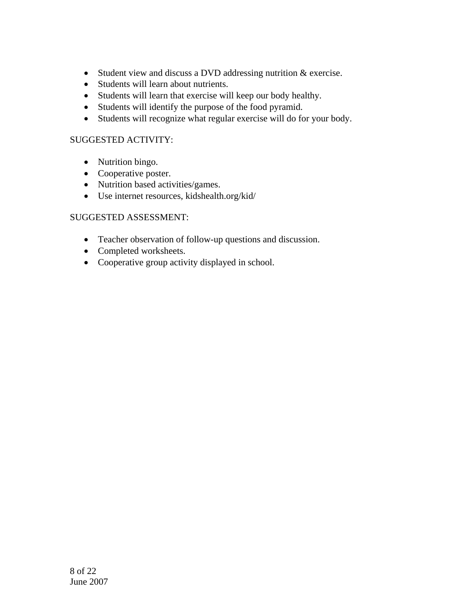- Student view and discuss a DVD addressing nutrition & exercise.
- Students will learn about nutrients.
- Students will learn that exercise will keep our body healthy.
- Students will identify the purpose of the food pyramid.
- Students will recognize what regular exercise will do for your body.

### SUGGESTED ACTIVITY:

- Nutrition bingo.
- Cooperative poster.
- Nutrition based activities/games.
- Use internet resources, kidshealth.org/kid/

- Teacher observation of follow-up questions and discussion.
- Completed worksheets.
- Cooperative group activity displayed in school.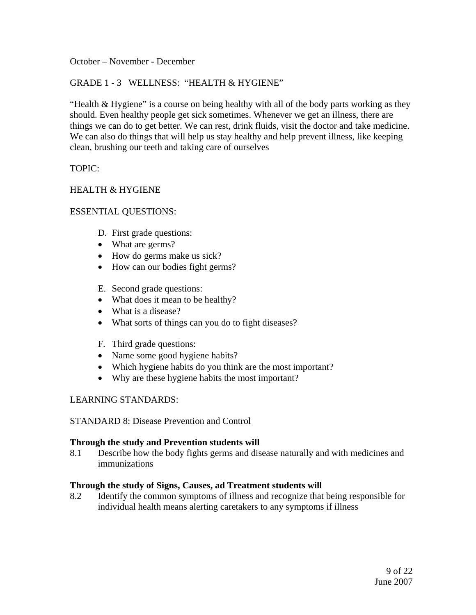October – November - December

#### GRADE 1 - 3 WELLNESS: "HEALTH & HYGIENE"

"Health & Hygiene" is a course on being healthy with all of the body parts working as they should. Even healthy people get sick sometimes. Whenever we get an illness, there are things we can do to get better. We can rest, drink fluids, visit the doctor and take medicine. We can also do things that will help us stay healthy and help prevent illness, like keeping clean, brushing our teeth and taking care of ourselves

#### TOPIC:

#### HEALTH & HYGIENE

#### ESSENTIAL QUESTIONS:

- D. First grade questions:
- What are germs?
- How do germs make us sick?
- How can our bodies fight germs?
- E. Second grade questions:
- What does it mean to be healthy?
- What is a disease?
- What sorts of things can you do to fight diseases?
- F. Third grade questions:
- Name some good hygiene habits?
- Which hygiene habits do you think are the most important?
- Why are these hygiene habits the most important?

#### LEARNING STANDARDS:

STANDARD 8: Disease Prevention and Control

#### **Through the study and Prevention students will**

8.1 Describe how the body fights germs and disease naturally and with medicines and immunizations

#### **Through the study of Signs, Causes, ad Treatment students will**

8.2 Identify the common symptoms of illness and recognize that being responsible for individual health means alerting caretakers to any symptoms if illness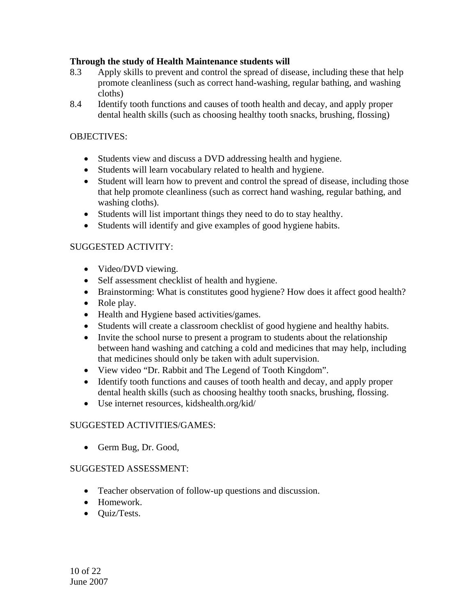## **Through the study of Health Maintenance students will**

- 8.3 Apply skills to prevent and control the spread of disease, including these that help promote cleanliness (such as correct hand-washing, regular bathing, and washing cloths)
- 8.4 Identify tooth functions and causes of tooth health and decay, and apply proper dental health skills (such as choosing healthy tooth snacks, brushing, flossing)

## OBJECTIVES:

- Students view and discuss a DVD addressing health and hygiene.
- Students will learn vocabulary related to health and hygiene.
- Student will learn how to prevent and control the spread of disease, including those that help promote cleanliness (such as correct hand washing, regular bathing, and washing cloths).
- Students will list important things they need to do to stay healthy.
- Students will identify and give examples of good hygiene habits.

### SUGGESTED ACTIVITY:

- Video/DVD viewing.
- Self assessment checklist of health and hygiene.
- Brainstorming: What is constitutes good hygiene? How does it affect good health?
- Role play.
- Health and Hygiene based activities/games.
- Students will create a classroom checklist of good hygiene and healthy habits.
- Invite the school nurse to present a program to students about the relationship between hand washing and catching a cold and medicines that may help, including that medicines should only be taken with adult supervision.
- View video "Dr. Rabbit and The Legend of Tooth Kingdom".
- Identify tooth functions and causes of tooth health and decay, and apply proper dental health skills (such as choosing healthy tooth snacks, brushing, flossing.
- Use internet resources, kidshealth.org/kid/

### SUGGESTED ACTIVITIES/GAMES:

• Germ Bug, Dr. Good,

- Teacher observation of follow-up questions and discussion.
- Homework.
- Quiz/Tests.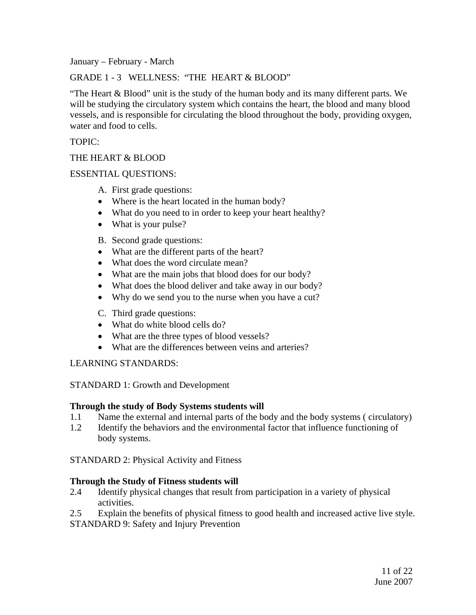January – February - March

GRADE 1 - 3 WELLNESS: "THE HEART & BLOOD"

"The Heart & Blood" unit is the study of the human body and its many different parts. We will be studying the circulatory system which contains the heart, the blood and many blood vessels, and is responsible for circulating the blood throughout the body, providing oxygen, water and food to cells.

TOPIC:

### THE HEART & BLOOD

#### ESSENTIAL QUESTIONS:

- A. First grade questions:
- Where is the heart located in the human body?
- What do you need to in order to keep your heart healthy?
- What is your pulse?
- B. Second grade questions:
- What are the different parts of the heart?
- What does the word circulate mean?
- What are the main jobs that blood does for our body?
- What does the blood deliver and take away in our body?
- Why do we send you to the nurse when you have a cut?
- C. Third grade questions:
- What do white blood cells do?
- What are the three types of blood vessels?
- What are the differences between veins and arteries?

### LEARNING STANDARDS:

### STANDARD 1: Growth and Development

### **Through the study of Body Systems students will**

- 1.1 Name the external and internal parts of the body and the body systems ( circulatory)
- 1.2 Identify the behaviors and the environmental factor that influence functioning of body systems.

STANDARD 2: Physical Activity and Fitness

#### **Through the Study of Fitness students will**

- 2.4 Identify physical changes that result from participation in a variety of physical activities.
- 2.5 Explain the benefits of physical fitness to good health and increased active live style.

STANDARD 9: Safety and Injury Prevention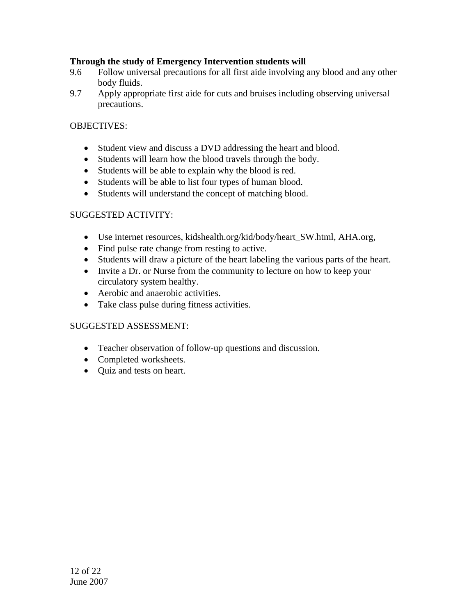## **Through the study of Emergency Intervention students will**

- 9.6 Follow universal precautions for all first aide involving any blood and any other body fluids.
- 9.7 Apply appropriate first aide for cuts and bruises including observing universal precautions.

### OBJECTIVES:

- Student view and discuss a DVD addressing the heart and blood.
- Students will learn how the blood travels through the body.
- Students will be able to explain why the blood is red.
- Students will be able to list four types of human blood.
- Students will understand the concept of matching blood.

#### SUGGESTED ACTIVITY:

- Use internet resources, kidshealth.org/kid/body/heart\_SW.html, AHA.org,
- Find pulse rate change from resting to active.
- Students will draw a picture of the heart labeling the various parts of the heart.
- Invite a Dr. or Nurse from the community to lecture on how to keep your circulatory system healthy.
- Aerobic and anaerobic activities.
- Take class pulse during fitness activities.

- Teacher observation of follow-up questions and discussion.
- Completed worksheets.
- Quiz and tests on heart.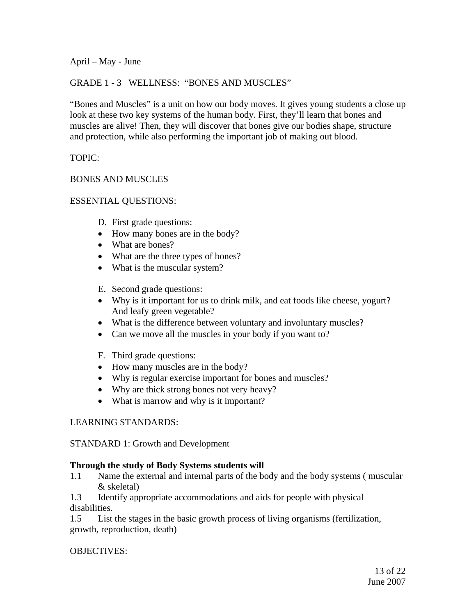April – May - June

### GRADE 1 - 3 WELLNESS: "BONES AND MUSCLES"

"Bones and Muscles" is a unit on how our body moves. It gives young students a close up look at these two key systems of the human body. First, they'll learn that bones and muscles are alive! Then, they will discover that bones give our bodies shape, structure and protection, while also performing the important job of making out blood.

TOPIC:

### BONES AND MUSCLES

### ESSENTIAL QUESTIONS:

- D. First grade questions:
- How many bones are in the body?
- What are bones?
- What are the three types of bones?
- What is the muscular system?
- E. Second grade questions:
- Why is it important for us to drink milk, and eat foods like cheese, yogurt? And leafy green vegetable?
- What is the difference between voluntary and involuntary muscles?
- Can we move all the muscles in your body if you want to?
- F. Third grade questions:
- How many muscles are in the body?
- Why is regular exercise important for bones and muscles?
- Why are thick strong bones not very heavy?
- What is marrow and why is it important?

### LEARNING STANDARDS:

### STANDARD 1: Growth and Development

### **Through the study of Body Systems students will**

1.1 Name the external and internal parts of the body and the body systems ( muscular & skeletal)

1.3 Identify appropriate accommodations and aids for people with physical disabilities.

1.5 List the stages in the basic growth process of living organisms (fertilization, growth, reproduction, death)

### OBJECTIVES: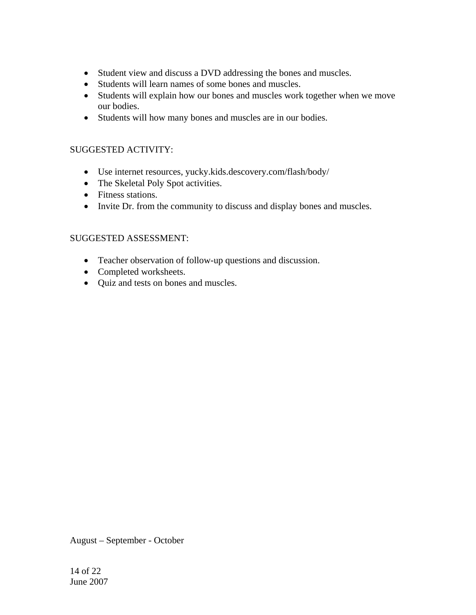- Student view and discuss a DVD addressing the bones and muscles.
- Students will learn names of some bones and muscles.
- Students will explain how our bones and muscles work together when we move our bodies.
- Students will how many bones and muscles are in our bodies.

### SUGGESTED ACTIVITY:

- Use internet resources, yucky.kids.descovery.com/flash/body/
- The Skeletal Poly Spot activities.
- Fitness stations.
- Invite Dr. from the community to discuss and display bones and muscles.

### SUGGESTED ASSESSMENT:

- Teacher observation of follow-up questions and discussion.
- Completed worksheets.
- Quiz and tests on bones and muscles.

August – September - October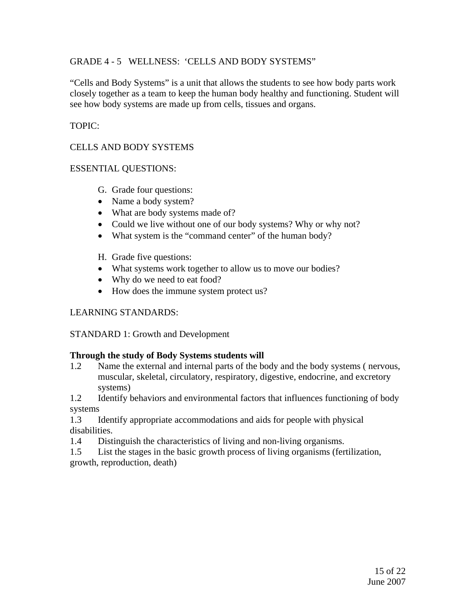### GRADE 4 - 5 WELLNESS: 'CELLS AND BODY SYSTEMS"

"Cells and Body Systems" is a unit that allows the students to see how body parts work closely together as a team to keep the human body healthy and functioning. Student will see how body systems are made up from cells, tissues and organs.

### TOPIC:

## CELLS AND BODY SYSTEMS

### ESSENTIAL QUESTIONS:

- G. Grade four questions:
- Name a body system?
- What are body systems made of?
- Could we live without one of our body systems? Why or why not?
- What system is the "command center" of the human body?
- H. Grade five questions:
- What systems work together to allow us to move our bodies?
- Why do we need to eat food?
- How does the immune system protect us?

### LEARNING STANDARDS:

STANDARD 1: Growth and Development

### **Through the study of Body Systems students will**

1.2 Name the external and internal parts of the body and the body systems ( nervous, muscular, skeletal, circulatory, respiratory, digestive, endocrine, and excretory systems)

1.2 Identify behaviors and environmental factors that influences functioning of body systems

1.3 Identify appropriate accommodations and aids for people with physical disabilities.

1.4 Distinguish the characteristics of living and non-living organisms.

1.5 List the stages in the basic growth process of living organisms (fertilization, growth, reproduction, death)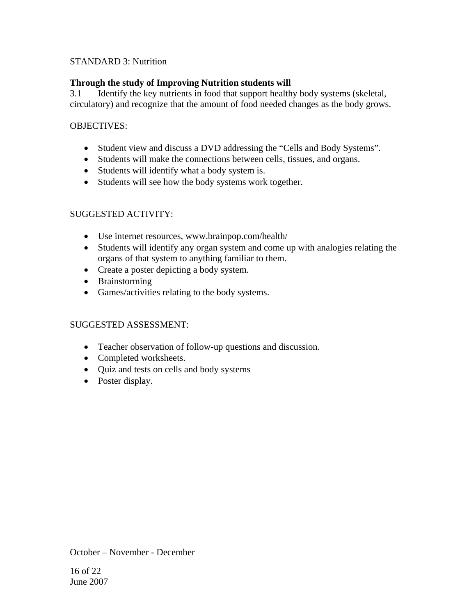### STANDARD 3: Nutrition

## **Through the study of Improving Nutrition students will**

3.1 Identify the key nutrients in food that support healthy body systems (skeletal, circulatory) and recognize that the amount of food needed changes as the body grows.

### OBJECTIVES:

- Student view and discuss a DVD addressing the "Cells and Body Systems".
- Students will make the connections between cells, tissues, and organs.
- Students will identify what a body system is.
- Students will see how the body systems work together.

## SUGGESTED ACTIVITY:

- Use internet resources, www.brainpop.com/health/
- Students will identify any organ system and come up with analogies relating the organs of that system to anything familiar to them.
- Create a poster depicting a body system.
- Brainstorming
- Games/activities relating to the body systems.

### SUGGESTED ASSESSMENT:

- Teacher observation of follow-up questions and discussion.
- Completed worksheets.
- Quiz and tests on cells and body systems
- Poster display.

October – November - December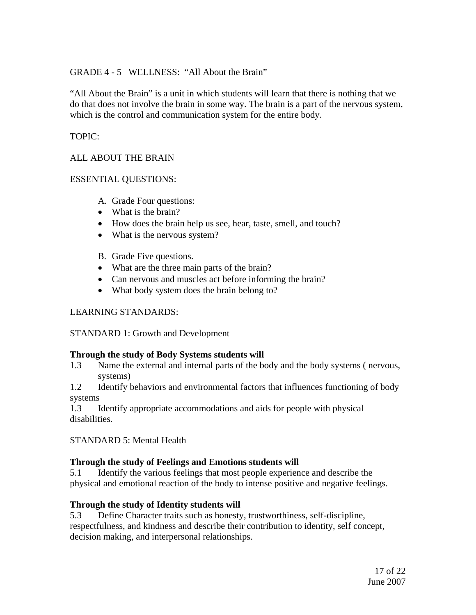### GRADE 4 - 5 WELLNESS: "All About the Brain"

"All About the Brain" is a unit in which students will learn that there is nothing that we do that does not involve the brain in some way. The brain is a part of the nervous system, which is the control and communication system for the entire body.

## TOPIC:

## ALL ABOUT THE BRAIN

### ESSENTIAL QUESTIONS:

- A. Grade Four questions:
- What is the brain?
- How does the brain help us see, hear, taste, smell, and touch?
- What is the nervous system?
- B. Grade Five questions.
- What are the three main parts of the brain?
- Can nervous and muscles act before informing the brain?
- What body system does the brain belong to?

### LEARNING STANDARDS:

STANDARD 1: Growth and Development

### **Through the study of Body Systems students will**

1.3 Name the external and internal parts of the body and the body systems ( nervous, systems)

1.2 Identify behaviors and environmental factors that influences functioning of body systems

1.3 Identify appropriate accommodations and aids for people with physical disabilities.

STANDARD 5: Mental Health

### **Through the study of Feelings and Emotions students will**

5.1 Identify the various feelings that most people experience and describe the physical and emotional reaction of the body to intense positive and negative feelings.

# **Through the study of Identity students will**

5.3 Define Character traits such as honesty, trustworthiness, self-discipline, respectfulness, and kindness and describe their contribution to identity, self concept, decision making, and interpersonal relationships.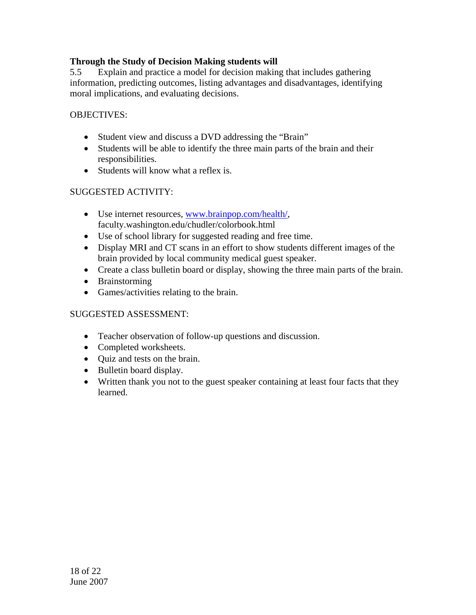## **Through the Study of Decision Making students will**

5.5 Explain and practice a model for decision making that includes gathering information, predicting outcomes, listing advantages and disadvantages, identifying moral implications, and evaluating decisions.

### OBJECTIVES:

- Student view and discuss a DVD addressing the "Brain"
- Students will be able to identify the three main parts of the brain and their responsibilities.
- Students will know what a reflex is.

## SUGGESTED ACTIVITY:

- Use internet resources, [www.brainpop.com/health/](http://www.brainpop.com/health/), faculty.washington.edu/chudler/colorbook.html
- Use of school library for suggested reading and free time.
- Display MRI and CT scans in an effort to show students different images of the brain provided by local community medical guest speaker.
- Create a class bulletin board or display, showing the three main parts of the brain.
- Brainstorming
- Games/activities relating to the brain.

- Teacher observation of follow-up questions and discussion.
- Completed worksheets.
- Quiz and tests on the brain.
- Bulletin board display.
- Written thank you not to the guest speaker containing at least four facts that they learned.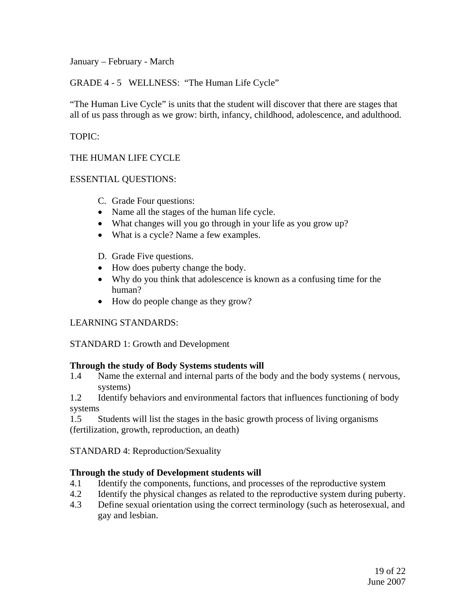January – February - March

GRADE 4 - 5 WELLNESS: "The Human Life Cycle"

"The Human Live Cycle" is units that the student will discover that there are stages that all of us pass through as we grow: birth, infancy, childhood, adolescence, and adulthood.

## TOPIC:

THE HUMAN LIFE CYCLE

### ESSENTIAL QUESTIONS:

- C. Grade Four questions:
- Name all the stages of the human life cycle.
- What changes will you go through in your life as you grow up?
- What is a cycle? Name a few examples.
- D. Grade Five questions.
- How does puberty change the body.
- Why do you think that adolescence is known as a confusing time for the human?
- How do people change as they grow?

### LEARNING STANDARDS:

STANDARD 1: Growth and Development

### **Through the study of Body Systems students will**

1.4 Name the external and internal parts of the body and the body systems ( nervous, systems)

1.2 Identify behaviors and environmental factors that influences functioning of body systems

1.5 Students will list the stages in the basic growth process of living organisms (fertilization, growth, reproduction, an death)

STANDARD 4: Reproduction/Sexuality

### **Through the study of Development students will**

- 4.1 Identify the components, functions, and processes of the reproductive system
- 4.2 Identify the physical changes as related to the reproductive system during puberty.
- 4.3 Define sexual orientation using the correct terminology (such as heterosexual, and gay and lesbian.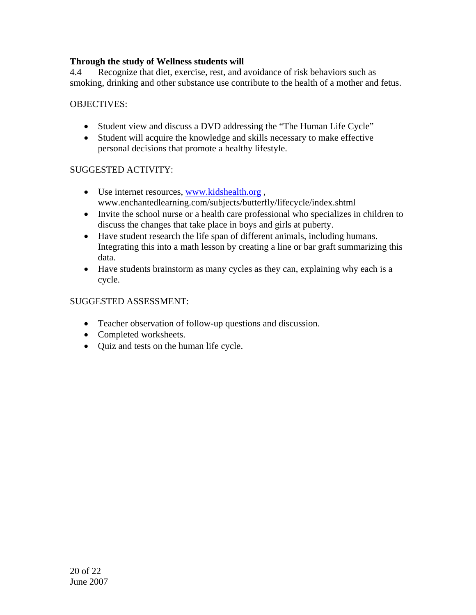## **Through the study of Wellness students will**

4.4 Recognize that diet, exercise, rest, and avoidance of risk behaviors such as smoking, drinking and other substance use contribute to the health of a mother and fetus.

## OBJECTIVES:

- Student view and discuss a DVD addressing the "The Human Life Cycle"
- Student will acquire the knowledge and skills necessary to make effective personal decisions that promote a healthy lifestyle.

### SUGGESTED ACTIVITY:

- Use internet resources, www.kidshealth.org, www.enchantedlearning.com/subjects/butterfly/lifecycle/index.shtml
- Invite the school nurse or a health care professional who specializes in children to discuss the changes that take place in boys and girls at puberty.
- Have student research the life span of different animals, including humans. Integrating this into a math lesson by creating a line or bar graft summarizing this data.
- Have students brainstorm as many cycles as they can, explaining why each is a cycle.

- Teacher observation of follow-up questions and discussion.
- Completed worksheets.
- Quiz and tests on the human life cycle.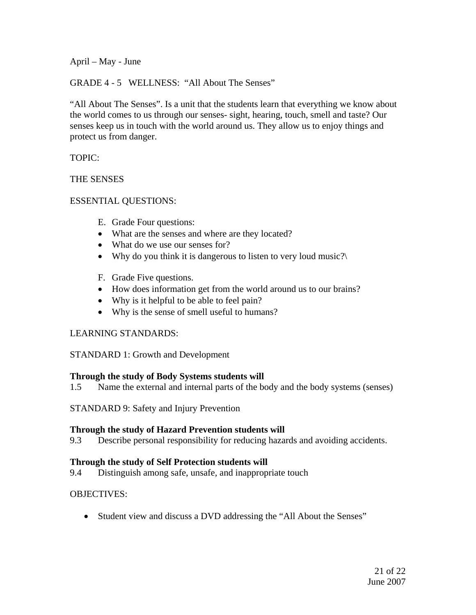April – May - June

GRADE 4 - 5 WELLNESS: "All About The Senses"

"All About The Senses". Is a unit that the students learn that everything we know about the world comes to us through our senses- sight, hearing, touch, smell and taste? Our senses keep us in touch with the world around us. They allow us to enjoy things and protect us from danger.

TOPIC:

#### THE SENSES

### ESSENTIAL QUESTIONS:

- E. Grade Four questions:
- What are the senses and where are they located?
- What do we use our senses for?
- Why do you think it is dangerous to listen to very loud music?
- F. Grade Five questions.
- How does information get from the world around us to our brains?
- Why is it helpful to be able to feel pain?
- Why is the sense of smell useful to humans?

### LEARNING STANDARDS:

STANDARD 1: Growth and Development

### **Through the study of Body Systems students will**

1.5 Name the external and internal parts of the body and the body systems (senses)

STANDARD 9: Safety and Injury Prevention

### **Through the study of Hazard Prevention students will**

9.3 Describe personal responsibility for reducing hazards and avoiding accidents.

### **Through the study of Self Protection students will**

9.4 Distinguish among safe, unsafe, and inappropriate touch

# OBJECTIVES:

• Student view and discuss a DVD addressing the "All About the Senses"